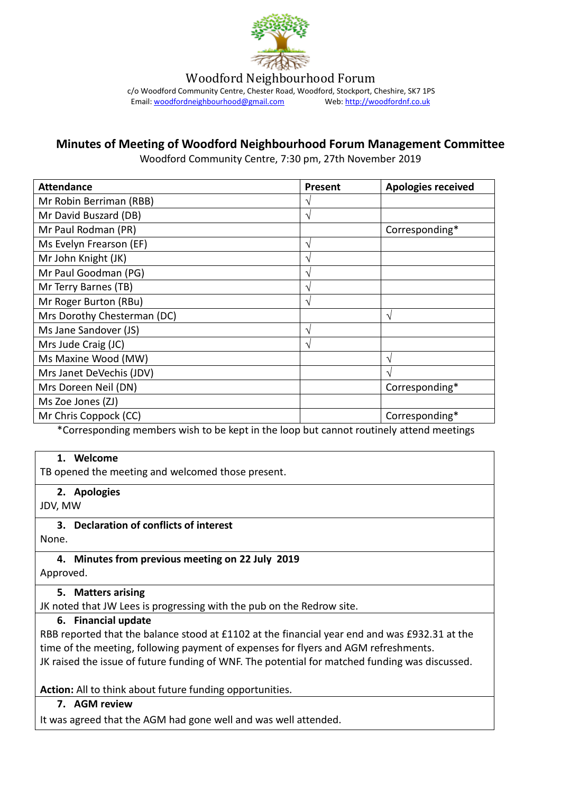

Woodford Neighbourhood Forum

c/o Woodford Community Centre, Chester Road, Woodford, Stockport, Cheshire, SK7 1PS<br>Email: woodfordneighbourhood@gmail.com Web: http://woodfordnf.co.uk Email: woodfordneighbourhood@gmail.com

# **Minutes of Meeting of Woodford Neighbourhood Forum Management Committee**

Woodford Community Centre, 7:30 pm, 27th November 2019

| <b>Attendance</b>           | <b>Present</b> | <b>Apologies received</b> |
|-----------------------------|----------------|---------------------------|
| Mr Robin Berriman (RBB)     | ٦              |                           |
| Mr David Buszard (DB)       | V              |                           |
| Mr Paul Rodman (PR)         |                | Corresponding*            |
| Ms Evelyn Frearson (EF)     | N              |                           |
| Mr John Knight (JK)         | ٦              |                           |
| Mr Paul Goodman (PG)        | N              |                           |
| Mr Terry Barnes (TB)        | V              |                           |
| Mr Roger Burton (RBu)       | V              |                           |
| Mrs Dorothy Chesterman (DC) |                | N                         |
| Ms Jane Sandover (JS)       | N              |                           |
| Mrs Jude Craig (JC)         | V              |                           |
| Ms Maxine Wood (MW)         |                | ٦                         |
| Mrs Janet DeVechis (JDV)    |                |                           |
| Mrs Doreen Neil (DN)        |                | Corresponding*            |
| Ms Zoe Jones (ZJ)           |                |                           |
| Mr Chris Coppock (CC)       |                | Corresponding*            |

\*Corresponding members wish to be kept in the loop but cannot routinely attend meetings

#### **1. Welcome**

TB opened the meeting and welcomed those present.

**2. Apologies**

JDV, MW

#### **3. Declaration of conflicts of interest**

None.

**4. Minutes from previous meeting on 22 July 2019** Approved.

#### **5. Matters arising**

JK noted that JW Lees is progressing with the pub on the Redrow site.

#### **6. Financial update**

RBB reported that the balance stood at £1102 at the financial year end and was £932.31 at the time of the meeting, following payment of expenses for flyers and AGM refreshments. JK raised the issue of future funding of WNF. The potential for matched funding was discussed.

**Action:** All to think about future funding opportunities.

#### **7. AGM review**

It was agreed that the AGM had gone well and was well attended.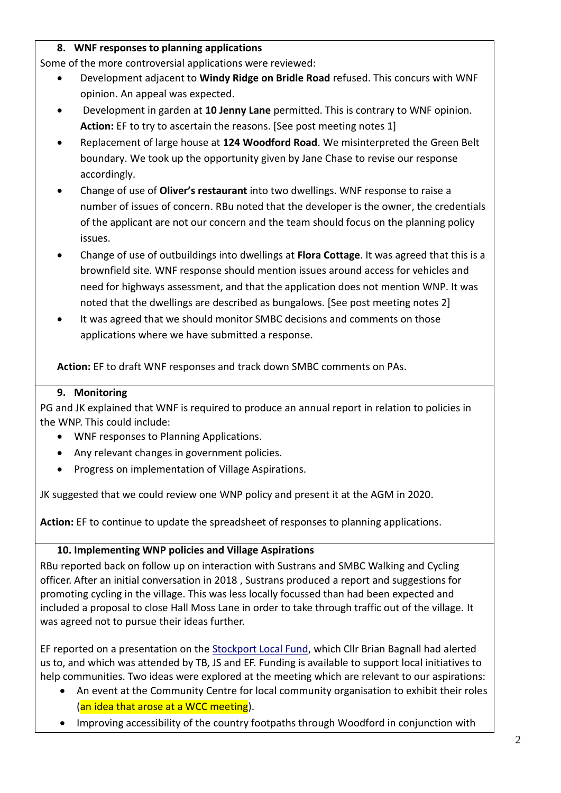### **8. WNF responses to planning applications**

Some of the more controversial applications were reviewed:

- Development adjacent to **Windy Ridge on Bridle Road** refused. This concurs with WNF opinion. An appeal was expected.
- Development in garden at **10 Jenny Lane** permitted. This is contrary to WNF opinion. **Action:** EF to try to ascertain the reasons. [See post meeting notes 1]
- Replacement of large house at **124 Woodford Road**. We misinterpreted the Green Belt boundary. We took up the opportunity given by Jane Chase to revise our response accordingly.
- Change of use of **Oliver's restaurant** into two dwellings. WNF response to raise a number of issues of concern. RBu noted that the developer is the owner, the credentials of the applicant are not our concern and the team should focus on the planning policy issues.
- Change of use of outbuildings into dwellings at **Flora Cottage**. It was agreed that this is a brownfield site. WNF response should mention issues around access for vehicles and need for highways assessment, and that the application does not mention WNP. It was noted that the dwellings are described as bungalows. [See post meeting notes 2]
- It was agreed that we should monitor SMBC decisions and comments on those applications where we have submitted a response.

**Action:** EF to draft WNF responses and track down SMBC comments on PAs.

#### **9. Monitoring**

PG and JK explained that WNF is required to produce an annual report in relation to policies in the WNP. This could include:

- WNF responses to Planning Applications.
- Any relevant changes in government policies.
- Progress on implementation of Village Aspirations.

JK suggested that we could review one WNP policy and present it at the AGM in 2020.

**Action:** EF to continue to update the spreadsheet of responses to planning applications.

## **10. Implementing WNP policies and Village Aspirations**

RBu reported back on follow up on interaction with Sustrans and SMBC Walking and Cycling officer. After an initial conversation in 2018 , Sustrans produced a report and suggestions for promoting cycling in the village. This was less locally focussed than had been expected and included a proposal to close Hall Moss Lane in order to take through traffic out of the village. It was agreed not to pursue their ideas further.

EF reported on a presentation on the **Stockport Local Fund**, which Cllr Brian Bagnall had alerted us to, and which was attended by TB, JS and EF. Funding is available to support local initiatives to help communities. Two ideas were explored at the meeting which are relevant to our aspirations:

- An event at the Community Centre for local community organisation to exhibit their roles (an idea that arose at a WCC meeting).
- Improving accessibility of the country footpaths through Woodford in conjunction with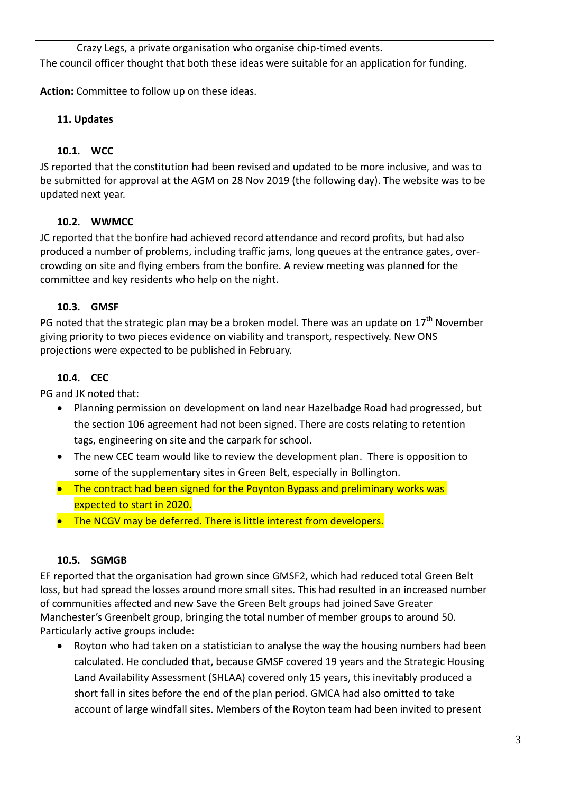Crazy Legs, a private organisation who organise chip-timed events. The council officer thought that both these ideas were suitable for an application for funding.

**Action:** Committee to follow up on these ideas.

# **11. Updates**

# **10.1. WCC**

JS reported that the constitution had been revised and updated to be more inclusive, and was to be submitted for approval at the AGM on 28 Nov 2019 (the following day). The website was to be updated next year.

# **10.2. WWMCC**

JC reported that the bonfire had achieved record attendance and record profits, but had also produced a number of problems, including traffic jams, long queues at the entrance gates, overcrowding on site and flying embers from the bonfire. A review meeting was planned for the committee and key residents who help on the night.

# **10.3. GMSF**

PG noted that the strategic plan may be a broken model. There was an update on  $17<sup>th</sup>$  November giving priority to two pieces evidence on viability and transport, respectively. New ONS projections were expected to be published in February.

# **10.4. CEC**

PG and JK noted that:

- Planning permission on development on land near Hazelbadge Road had progressed, but the section 106 agreement had not been signed. There are costs relating to retention tags, engineering on site and the carpark for school.
- The new CEC team would like to review the development plan. There is opposition to some of the supplementary sites in Green Belt, especially in Bollington.
- The contract had been signed for the Poynton Bypass and preliminary works was expected to start in 2020.
- The NCGV may be deferred. There is little interest from developers.

# **10.5. SGMGB**

EF reported that the organisation had grown since GMSF2, which had reduced total Green Belt loss, but had spread the losses around more small sites. This had resulted in an increased number of communities affected and new Save the Green Belt groups had joined Save Greater Manchester's Greenbelt group, bringing the total number of member groups to around 50. Particularly active groups include:

 Royton who had taken on a statistician to analyse the way the housing numbers had been calculated. He concluded that, because GMSF covered 19 years and the Strategic Housing Land Availability Assessment (SHLAA) covered only 15 years, this inevitably produced a short fall in sites before the end of the plan period. GMCA had also omitted to take account of large windfall sites. Members of the Royton team had been invited to present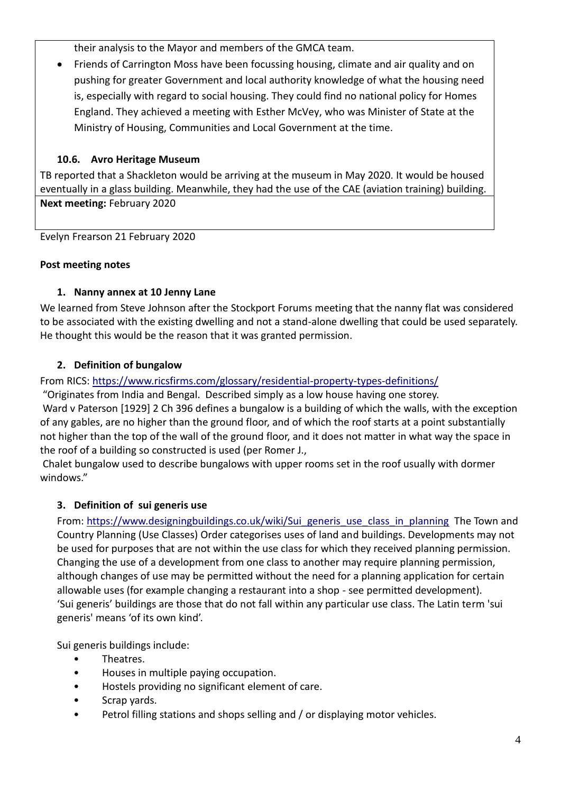their analysis to the Mayor and members of the GMCA team.

 Friends of Carrington Moss have been focussing housing, climate and air quality and on pushing for greater Government and local authority knowledge of what the housing need is, especially with regard to social housing. They could find no national policy for Homes England. They achieved a meeting with Esther McVey, who was Minister of State at the Ministry of Housing, Communities and Local Government at the time.

# **10.6. Avro Heritage Museum**

TB reported that a Shackleton would be arriving at the museum in May 2020. It would be housed eventually in a glass building. Meanwhile, they had the use of the CAE (aviation training) building. **Next meeting:** February 2020

Evelyn Frearson 21 February 2020

## **Post meeting notes**

## **1. Nanny annex at 10 Jenny Lane**

We learned from Steve Johnson after the Stockport Forums meeting that the nanny flat was considered to be associated with the existing dwelling and not a stand-alone dwelling that could be used separately. He thought this would be the reason that it was granted permission.

## **2. Definition of bungalow**

From RICS: <https://www.ricsfirms.com/glossary/residential-property-types-definitions/>

"Originates from India and Bengal. Described simply as a low house having one storey.

Ward v Paterson [1929] 2 Ch 396 defines a bungalow is a building of which the walls, with the exception of any gables, are no higher than the ground floor, and of which the roof starts at a point substantially not higher than the top of the wall of the ground floor, and it does not matter in what way the space in the roof of a building so constructed is used (per Romer J.,

Chalet bungalow used to describe bungalows with upper rooms set in the roof usually with dormer windows."

## **3. Definition of sui generis use**

From: [https://www.designingbuildings.co.uk/wiki/Sui\\_generis\\_use\\_class\\_in\\_planning](https://www.designingbuildings.co.uk/wiki/Sui_generis_use_class_in_planning) The Town and Country Planning (Use Classes) Order categorises uses of land and buildings. Developments may not be used for purposes that are not within the use class for which they received planning permission. Changing the use of a development from one class to another may require planning permission, although changes of use may be permitted without the need for a planning application for certain allowable uses (for example changing a restaurant into a shop - see permitted development). 'Sui generis' buildings are those that do not fall within any particular use class. The Latin term 'sui generis' means 'of its own kind'.

Sui generis buildings include:

- Theatres.
- Houses in multiple paying occupation.
- Hostels providing no significant element of care.
- Scrap yards.
- Petrol filling stations and shops selling and / or displaying motor vehicles.